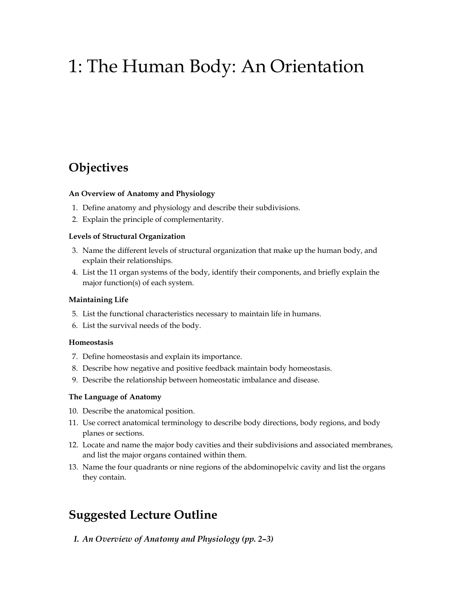# 1: The Human Body: An Orientation

## **Objectives**

#### **An Overview of Anatomy and Physiology**

- 1. Define anatomy and physiology and describe their subdivisions.
- 2. Explain the principle of complementarity.

#### **Levels of Structural Organization**

- 3. Name the different levels of structural organization that make up the human body, and explain their relationships.
- 4. List the 11 organ systems of the body, identify their components, and briefly explain the major function(s) of each system.

#### **Maintaining Life**

- 5. List the functional characteristics necessary to maintain life in humans.
- 6. List the survival needs of the body.

#### **Homeostasis**

- 7. Define homeostasis and explain its importance.
- 8. Describe how negative and positive feedback maintain body homeostasis.
- 9. Describe the relationship between homeostatic imbalance and disease.

#### **The Language of Anatomy**

- 10. Describe the anatomical position.
- 11. Use correct anatomical terminology to describe body directions, body regions, and body planes or sections.
- 12. Locate and name the major body cavities and their subdivisions and associated membranes, and list the major organs contained within them.
- 13. Name the four quadrants or nine regions of the abdominopelvic cavity and list the organs they contain.

### **Suggested Lecture Outline**

#### *I. An Overview of Anatomy and Physiology (pp. 2–3)*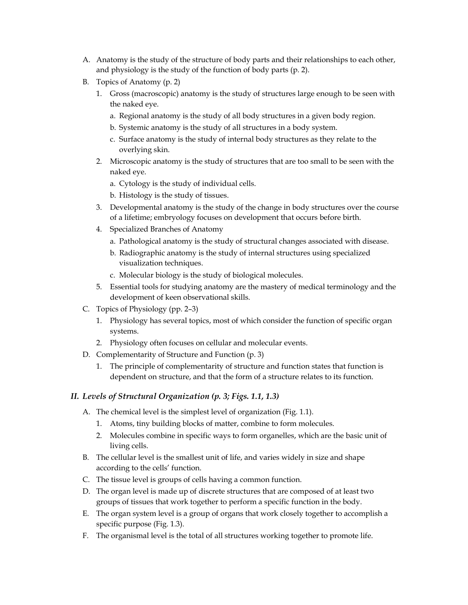- A. Anatomy is the study of the structure of body parts and their relationships to each other, and physiology is the study of the function of body parts (p. 2).
- B. Topics of Anatomy (p. 2)
	- 1. Gross (macroscopic) anatomy is the study of structures large enough to be seen with the naked eye.
		- a. Regional anatomy is the study of all body structures in a given body region.
		- b. Systemic anatomy is the study of all structures in a body system.
		- c. Surface anatomy is the study of internal body structures as they relate to the overlying skin.
	- 2. Microscopic anatomy is the study of structures that are too small to be seen with the naked eye.
		- a. Cytology is the study of individual cells.
		- b. Histology is the study of tissues.
	- 3. Developmental anatomy is the study of the change in body structures over the course of a lifetime; embryology focuses on development that occurs before birth.
	- 4. Specialized Branches of Anatomy
		- a. Pathological anatomy is the study of structural changes associated with disease.
		- b. Radiographic anatomy is the study of internal structures using specialized visualization techniques.
		- c. Molecular biology is the study of biological molecules.
	- 5. Essential tools for studying anatomy are the mastery of medical terminology and the development of keen observational skills.
- C. Topics of Physiology (pp. 2–3)
	- 1. Physiology has several topics, most of which consider the function of specific organ systems.
	- 2. Physiology often focuses on cellular and molecular events.
- D. Complementarity of Structure and Function (p. 3)
	- 1. The principle of complementarity of structure and function states that function is dependent on structure, and that the form of a structure relates to its function.

### *II. Levels of Structural Organization (p. 3; Figs. 1.1, 1.3)*

- A. The chemical level is the simplest level of organization (Fig. 1.1).
	- 1. Atoms, tiny building blocks of matter, combine to form molecules.
	- 2. Molecules combine in specific ways to form organelles, which are the basic unit of living cells.
- B. The cellular level is the smallest unit of life, and varies widely in size and shape according to the cells' function.
- C. The tissue level is groups of cells having a common function.
- D. The organ level is made up of discrete structures that are composed of at least two groups of tissues that work together to perform a specific function in the body.
- E. The organ system level is a group of organs that work closely together to accomplish a specific purpose (Fig. 1.3).
- F. The organismal level is the total of all structures working together to promote life.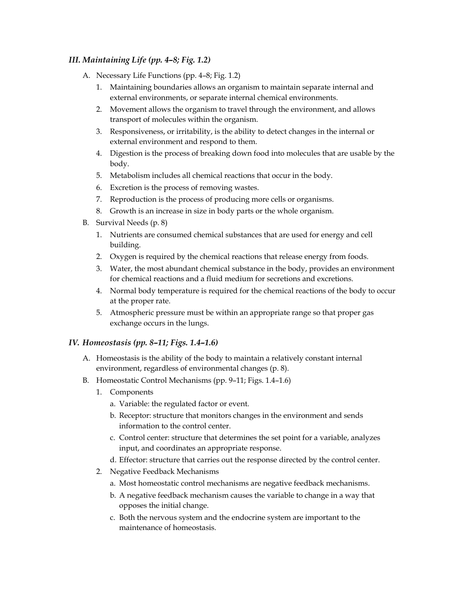### *III. Maintaining Life (pp. 4–8; Fig. 1.2)*

- A. Necessary Life Functions (pp. 4–8; Fig. 1.2)
	- 1. Maintaining boundaries allows an organism to maintain separate internal and external environments, or separate internal chemical environments.
	- 2. Movement allows the organism to travel through the environment, and allows transport of molecules within the organism.
	- 3. Responsiveness, or irritability, is the ability to detect changes in the internal or external environment and respond to them.
	- 4. Digestion is the process of breaking down food into molecules that are usable by the body.
	- 5. Metabolism includes all chemical reactions that occur in the body.
	- 6. Excretion is the process of removing wastes.
	- 7. Reproduction is the process of producing more cells or organisms.
	- 8. Growth is an increase in size in body parts or the whole organism.
- B. Survival Needs (p. 8)
	- 1. Nutrients are consumed chemical substances that are used for energy and cell building.
	- 2. Oxygen is required by the chemical reactions that release energy from foods.
	- 3. Water, the most abundant chemical substance in the body, provides an environment for chemical reactions and a fluid medium for secretions and excretions.
	- 4. Normal body temperature is required for the chemical reactions of the body to occur at the proper rate.
	- 5. Atmospheric pressure must be within an appropriate range so that proper gas exchange occurs in the lungs.

### *IV. Homeostasis (pp. 8–11; Figs. 1.4–1.6)*

- A. Homeostasis is the ability of the body to maintain a relatively constant internal environment, regardless of environmental changes (p. 8).
- B. Homeostatic Control Mechanisms (pp. 9–11; Figs. 1.4–1.6)
	- 1. Components
		- a. Variable: the regulated factor or event.
		- b. Receptor: structure that monitors changes in the environment and sends information to the control center.
		- c. Control center: structure that determines the set point for a variable, analyzes input, and coordinates an appropriate response.
		- d. Effector: structure that carries out the response directed by the control center.
	- 2. Negative Feedback Mechanisms
		- a. Most homeostatic control mechanisms are negative feedback mechanisms.
		- b. A negative feedback mechanism causes the variable to change in a way that opposes the initial change.
		- c. Both the nervous system and the endocrine system are important to the maintenance of homeostasis.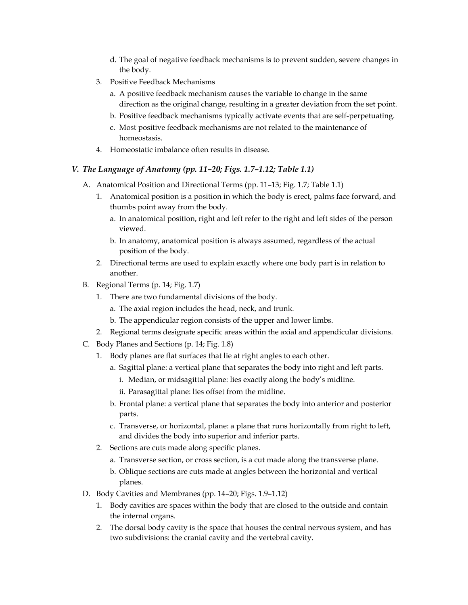- d. The goal of negative feedback mechanisms is to prevent sudden, severe changes in the body.
- 3. Positive Feedback Mechanisms
	- a. A positive feedback mechanism causes the variable to change in the same direction as the original change, resulting in a greater deviation from the set point.
	- b. Positive feedback mechanisms typically activate events that are self-perpetuating.
	- c. Most positive feedback mechanisms are not related to the maintenance of homeostasis.
- 4. Homeostatic imbalance often results in disease.

#### *V. The Language of Anatomy (pp. 11–20; Figs. 1.7–1.12; Table 1.1)*

- A. Anatomical Position and Directional Terms (pp. 11–13; Fig. 1.7; Table 1.1)
	- 1. Anatomical position is a position in which the body is erect, palms face forward, and thumbs point away from the body.
		- a. In anatomical position, right and left refer to the right and left sides of the person viewed.
		- b. In anatomy, anatomical position is always assumed, regardless of the actual position of the body.
	- 2. Directional terms are used to explain exactly where one body part is in relation to another.
- B. Regional Terms (p. 14; Fig. 1.7)
	- 1. There are two fundamental divisions of the body.
		- a. The axial region includes the head, neck, and trunk.
		- b. The appendicular region consists of the upper and lower limbs.
	- 2. Regional terms designate specific areas within the axial and appendicular divisions.
- C. Body Planes and Sections (p. 14; Fig. 1.8)
	- 1. Body planes are flat surfaces that lie at right angles to each other.
		- a. Sagittal plane: a vertical plane that separates the body into right and left parts.
			- i. Median, or midsagittal plane: lies exactly along the body's midline.
			- ii. Parasagittal plane: lies offset from the midline.
		- b. Frontal plane: a vertical plane that separates the body into anterior and posterior parts.
		- c. Transverse, or horizontal, plane: a plane that runs horizontally from right to left, and divides the body into superior and inferior parts.
	- 2. Sections are cuts made along specific planes.
		- a. Transverse section, or cross section, is a cut made along the transverse plane.
		- b. Oblique sections are cuts made at angles between the horizontal and vertical planes.
- D. Body Cavities and Membranes (pp. 14–20; Figs. 1.9–1.12)
	- 1. Body cavities are spaces within the body that are closed to the outside and contain the internal organs.
	- 2. The dorsal body cavity is the space that houses the central nervous system, and has two subdivisions: the cranial cavity and the vertebral cavity.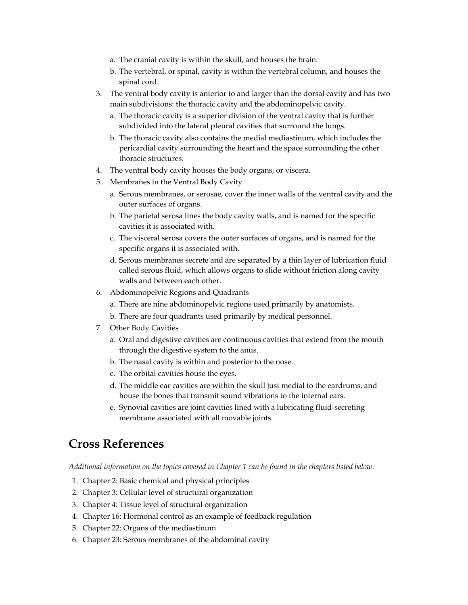- a. The cranial cavity is within the skull, and houses the brain.
- b. The vertebral, or spinal, cavity is within the vertebral column, and houses the spinal cord.
- 3. The ventral body cavity is anterior to and larger than the dorsal cavity and has two main subdivisions: the thoracic cavity and the abdominopelvic cavity.
	- a. The thoracic cavity is a superior division of the ventral cavity that is further subdivided into the lateral pleural cavities that surround the lungs.
	- b. The thoracic cavity also contains the medial mediastinum, which includes the pericardial cavity surrounding the heart and the space surrounding the other thoracic structures.
- 4. The ventral body cavity houses the body organs, or viscera.
- 5. Membranes in the Ventral Body Cavity
	- a. Serous membranes, or serosae, cover the inner walls of the ventral cavity and the outer surfaces of organs.
	- b. The parietal serosa lines the body cavity walls, and is named for the specific cavities it is associated with.
	- c. The visceral serosa covers the outer surfaces of organs, and is named for the specific organs it is associated with.
	- d. Serous membranes secrete and are separated by a thin layer of lubrication fluid called serous fluid, which allows organs to slide without friction along cavity walls and between each other.
- 6. Abdominopelvic Regions and Quadrants
	- a. There are nine abdominopelvic regions used primarily by anatomists.
	- b. There are four quadrants used primarily by medical personnel.
- 7. Other Body Cavities
	- a. Oral and digestive cavities are continuous cavities that extend from the mouth through the digestive system to the anus.
	- b. The nasal cavity is within and posterior to the nose.
	- c. The orbital cavities house the eyes.
	- d. The middle ear cavities are within the skull just medial to the eardrums, and house the bones that transmit sound vibrations to the internal ears.
	- e. Synovial cavities are joint cavities lined with a lubricating fluid-secreting membrane associated with all movable joints.

### **Cross References**

*Additional information on the topics covered in Chapter 1 can be found in the chapters listed below.* 

- 1. Chapter 2: Basic chemical and physical principles
- 2. Chapter 3: Cellular level of structural organization
- 3. Chapter 4: Tissue level of structural organization
- 4. Chapter 16: Hormonal control as an example of feedback regulation
- 5. Chapter 22: Organs of the mediastinum
- 6. Chapter 23: Serous membranes of the abdominal cavity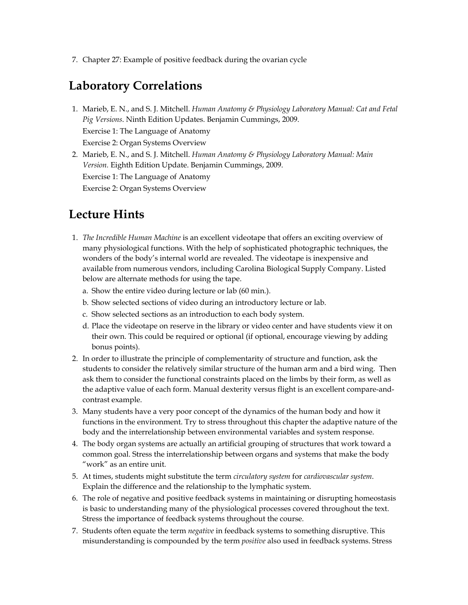7. Chapter 27: Example of positive feedback during the ovarian cycle

## **Laboratory Correlations**

- 1. Marieb, E. N., and S. J. Mitchell. *Human Anatomy & Physiology Laboratory Manual: Cat and Fetal Pig Versions*. Ninth Edition Updates. Benjamin Cummings, 2009. Exercise 1: The Language of Anatomy Exercise 2: Organ Systems Overview
- 2. Marieb, E. N., and S. J. Mitchell. *Human Anatomy & Physiology Laboratory Manual: Main Version.* Eighth Edition Update. Benjamin Cummings, 2009.

Exercise 1: The Language of Anatomy

Exercise 2: Organ Systems Overview

## **Lecture Hints**

- 1. *The Incredible Human Machine* is an excellent videotape that offers an exciting overview of many physiological functions. With the help of sophisticated photographic techniques, the wonders of the body's internal world are revealed. The videotape is inexpensive and available from numerous vendors, including Carolina Biological Supply Company. Listed below are alternate methods for using the tape.
	- a. Show the entire video during lecture or lab (60 min.).
	- b. Show selected sections of video during an introductory lecture or lab.
	- c. Show selected sections as an introduction to each body system.
	- d. Place the videotape on reserve in the library or video center and have students view it on their own. This could be required or optional (if optional, encourage viewing by adding bonus points).
- 2. In order to illustrate the principle of complementarity of structure and function, ask the students to consider the relatively similar structure of the human arm and a bird wing. Then ask them to consider the functional constraints placed on the limbs by their form, as well as the adaptive value of each form. Manual dexterity versus flight is an excellent compare-andcontrast example.
- 3. Many students have a very poor concept of the dynamics of the human body and how it functions in the environment. Try to stress throughout this chapter the adaptive nature of the body and the interrelationship between environmental variables and system response.
- 4. The body organ systems are actually an artificial grouping of structures that work toward a common goal. Stress the interrelationship between organs and systems that make the body "work" as an entire unit.
- 5. At times, students might substitute the term *circulatory system* for *cardiovascular system*. Explain the difference and the relationship to the lymphatic system.
- 6. The role of negative and positive feedback systems in maintaining or disrupting homeostasis is basic to understanding many of the physiological processes covered throughout the text. Stress the importance of feedback systems throughout the course.
- 7. Students often equate the term *negative* in feedback systems to something disruptive. This misunderstanding is compounded by the term *positive* also used in feedback systems. Stress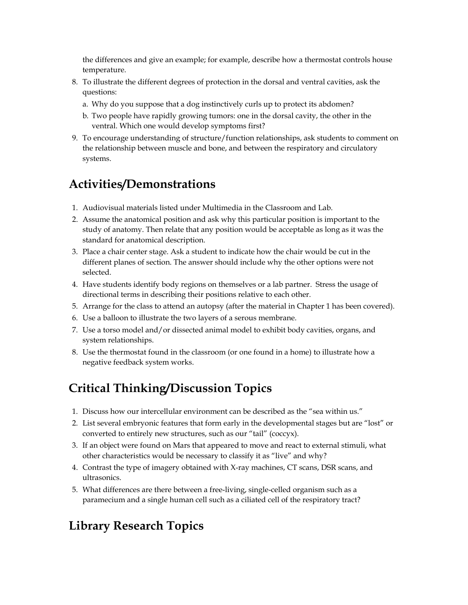the differences and give an example; for example, describe how a thermostat controls house temperature.

- 8. To illustrate the different degrees of protection in the dorsal and ventral cavities, ask the questions:
	- a. Why do you suppose that a dog instinctively curls up to protect its abdomen?
	- b. Two people have rapidly growing tumors: one in the dorsal cavity, the other in the ventral. Which one would develop symptoms first?
- 9. To encourage understanding of structure/function relationships, ask students to comment on the relationship between muscle and bone, and between the respiratory and circulatory systems.

## **Activities/Demonstrations**

- 1. Audiovisual materials listed under Multimedia in the Classroom and Lab.
- 2. Assume the anatomical position and ask why this particular position is important to the study of anatomy. Then relate that any position would be acceptable as long as it was the standard for anatomical description.
- 3. Place a chair center stage. Ask a student to indicate how the chair would be cut in the different planes of section. The answer should include why the other options were not selected.
- 4. Have students identify body regions on themselves or a lab partner. Stress the usage of directional terms in describing their positions relative to each other.
- 5. Arrange for the class to attend an autopsy (after the material in Chapter 1 has been covered).
- 6. Use a balloon to illustrate the two layers of a serous membrane.
- 7. Use a torso model and/or dissected animal model to exhibit body cavities, organs, and system relationships.
- 8. Use the thermostat found in the classroom (or one found in a home) to illustrate how a negative feedback system works.

## **Critical Thinking/Discussion Topics**

- 1. Discuss how our intercellular environment can be described as the "sea within us."
- 2. List several embryonic features that form early in the developmental stages but are "lost" or converted to entirely new structures, such as our "tail" (coccyx).
- 3. If an object were found on Mars that appeared to move and react to external stimuli, what other characteristics would be necessary to classify it as "live" and why?
- 4. Contrast the type of imagery obtained with X-ray machines, CT scans, DSR scans, and ultrasonics.
- 5. What differences are there between a free-living, single-celled organism such as a paramecium and a single human cell such as a ciliated cell of the respiratory tract?

## **Library Research Topics**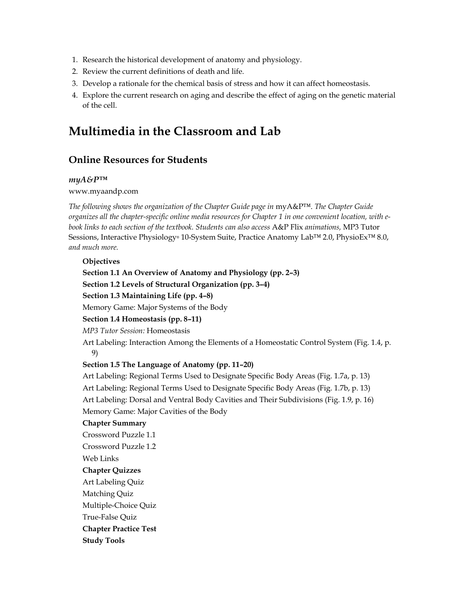- 1. Research the historical development of anatomy and physiology.
- 2. Review the current definitions of death and life.
- 3. Develop a rationale for the chemical basis of stress and how it can affect homeostasis.
- 4. Explore the current research on aging and describe the effect of aging on the genetic material of the cell.

### **Multimedia in the Classroom and Lab**

### **Online Resources for Students**

### *myA&P™*

#### www.myaandp.com

*The following shows the organization of the Chapter Guide page in* myA&P™. *The Chapter Guide organizes all the chapter-specific online media resources for Chapter 1 in one convenient location, with ebook links to each section of the textbook. Students can also access* A&P Flix *animations,* MP3 Tutor Sessions, Interactive Physiology® 10-System Suite, Practice Anatomy Lab™ 2.0, PhysioEx<sup>™</sup> 8.0, *and much more.* 

#### **Objectives**

 **Section 1.1 An Overview of Anatomy and Physiology (pp. 2–3) Section 1.2 Levels of Structural Organization (pp. 3–4) Section 1.3 Maintaining Life (pp. 4–8)**  Memory Game: Major Systems of the Body  **Section 1.4 Homeostasis (pp. 8–11)**  *MP3 Tutor Session:* Homeostasis Art Labeling: Interaction Among the Elements of a Homeostatic Control System (Fig. 1.4, p. 9)  **Section 1.5 The Language of Anatomy (pp. 11–20)**  Art Labeling: Regional Terms Used to Designate Specific Body Areas (Fig. 1.7a, p. 13) Art Labeling: Regional Terms Used to Designate Specific Body Areas (Fig. 1.7b, p. 13) Art Labeling: Dorsal and Ventral Body Cavities and Their Subdivisions (Fig. 1.9, p. 16) Memory Game: Major Cavities of the Body  **Chapter Summary**  Crossword Puzzle 1.1 Crossword Puzzle 1.2 Web Links  **Chapter Quizzes**  Art Labeling Quiz Matching Quiz Multiple-Choice Quiz True-False Quiz  **Chapter Practice Test Study Tools**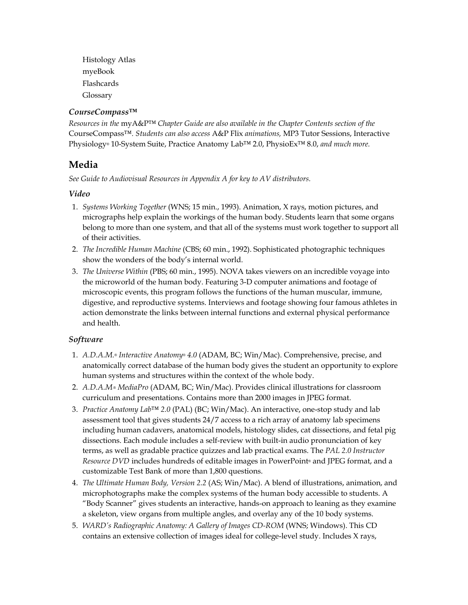Histology Atlas myeBook Flashcards Glossary

### *CourseCompass™*

*Resources in the* myA&P™ *Chapter Guide are also available in the Chapter Contents section of the*  CourseCompass*™. Students can also access* A&P Flix *animations,* MP3 Tutor Sessions, Interactive Physiology® 10-System Suite, Practice Anatomy Lab™ 2.0, PhysioEx™ 8.0, *and much more.* 

### **Media**

*See Guide to Audiovisual Resources in Appendix A for key to AV distributors.* 

### *Video*

- 1. *Systems Working Together* (WNS; 15 min., 1993). Animation, X rays, motion pictures, and micrographs help explain the workings of the human body. Students learn that some organs belong to more than one system, and that all of the systems must work together to support all of their activities.
- 2. *The Incredible Human Machine* (CBS; 60 min., 1992). Sophisticated photographic techniques show the wonders of the body's internal world.
- 3. *The Universe Within* (PBS; 60 min., 1995). NOVA takes viewers on an incredible voyage into the microworld of the human body. Featuring 3-D computer animations and footage of microscopic events, this program follows the functions of the human muscular, immune, digestive, and reproductive systems. Interviews and footage showing four famous athletes in action demonstrate the links between internal functions and external physical performance and health.

### *Software*

- 1. *A.D.A.M.*® *Interactive Anatomy*® *4.0* (ADAM, BC; Win/Mac). Comprehensive, precise, and anatomically correct database of the human body gives the student an opportunity to explore human systems and structures within the context of the whole body.
- 2. *A.D.A.M.® MediaPro* (ADAM, BC; Win/Mac). Provides clinical illustrations for classroom curriculum and presentations. Contains more than 2000 images in JPEG format.
- 3. *Practice Anatomy Lab™ 2.0* (PAL) (BC; Win/Mac). An interactive, one-stop study and lab assessment tool that gives students 24/7 access to a rich array of anatomy lab specimens including human cadavers, anatomical models, histology slides, cat dissections, and fetal pig dissections. Each module includes a self-review with built-in audio pronunciation of key terms, as well as gradable practice quizzes and lab practical exams. The *PAL 2.0 Instructor Resource DVD* includes hundreds of editable images in PowerPoint® and JPEG format, and a customizable Test Bank of more than 1,800 questions.
- 4. *The Ultimate Human Body, Version 2.2* (AS; Win/Mac). A blend of illustrations, animation, and microphotographs make the complex systems of the human body accessible to students. A "Body Scanner" gives students an interactive, hands-on approach to leaning as they examine a skeleton, view organs from multiple angles, and overlay any of the 10 body systems.
- 5. *WARD's Radiographic Anatomy: A Gallery of Images CD-ROM (WNS; Windows)*. This CD contains an extensive collection of images ideal for college-level study. Includes X rays,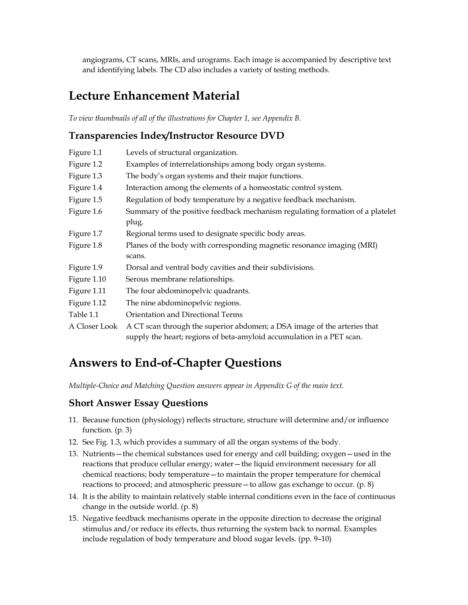angiograms, CT scans, MRIs, and urograms. Each image is accompanied by descriptive text and identifying labels. The CD also includes a variety of testing methods.

### **Lecture Enhancement Material**

*To view thumbnails of all of the illustrations for Chapter 1, see Appendix B.* 

### **Transparencies Index/Instructor Resource DVD**

| Figure 1.1    | Levels of structural organization.                                                                                                                |
|---------------|---------------------------------------------------------------------------------------------------------------------------------------------------|
| Figure 1.2    | Examples of interrelationships among body organ systems.                                                                                          |
| Figure 1.3    | The body's organ systems and their major functions.                                                                                               |
| Figure 1.4    | Interaction among the elements of a homeostatic control system.                                                                                   |
| Figure 1.5    | Regulation of body temperature by a negative feedback mechanism.                                                                                  |
| Figure 1.6    | Summary of the positive feedback mechanism regulating formation of a platelet<br>plug.                                                            |
| Figure 1.7    | Regional terms used to designate specific body areas.                                                                                             |
| Figure 1.8    | Planes of the body with corresponding magnetic resonance imaging (MRI)                                                                            |
|               | scans.                                                                                                                                            |
| Figure 1.9    | Dorsal and ventral body cavities and their subdivisions.                                                                                          |
| Figure 1.10   | Serous membrane relationships.                                                                                                                    |
| Figure 1.11   | The four abdominopelvic quadrants.                                                                                                                |
| Figure 1.12   | The nine abdominopelvic regions.                                                                                                                  |
| Table 1.1     | Orientation and Directional Terms                                                                                                                 |
| A Closer Look | A CT scan through the superior abdomen; a DSA image of the arteries that<br>supply the heart; regions of beta-amyloid accumulation in a PET scan. |

## **Answers to End-of-Chapter Questions**

*Multiple-Choice and Matching Question answers appear in Appendix G of the main text.* 

### **Short Answer Essay Questions**

- 11. Because function (physiology) reflects structure, structure will determine and/or influence function. (p. 3)
- 12. See Fig. 1.3, which provides a summary of all the organ systems of the body.
- 13. Nutrients—the chemical substances used for energy and cell building; oxygen—used in the reactions that produce cellular energy; water—the liquid environment necessary for all chemical reactions; body temperature—to maintain the proper temperature for chemical reactions to proceed; and atmospheric pressure—to allow gas exchange to occur. (p. 8)
- 14. It is the ability to maintain relatively stable internal conditions even in the face of continuous change in the outside world. (p. 8)
- 15. Negative feedback mechanisms operate in the opposite direction to decrease the original stimulus and/or reduce its effects, thus returning the system back to normal. Examples include regulation of body temperature and blood sugar levels. (pp. 9–10)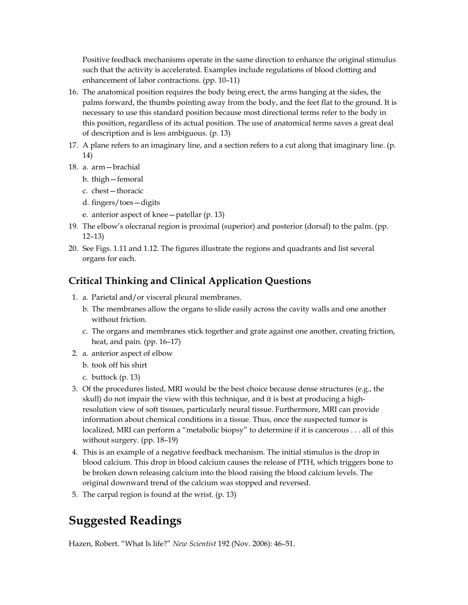Positive feedback mechanisms operate in the same direction to enhance the original stimulus such that the activity is accelerated. Examples include regulations of blood clotting and enhancement of labor contractions. (pp. 10–11)

- 16. The anatomical position requires the body being erect, the arms hanging at the sides, the palms forward, the thumbs pointing away from the body, and the feet flat to the ground. It is necessary to use this standard position because most directional terms refer to the body in this position, regardless of its actual position. The use of anatomical terms saves a great deal of description and is less ambiguous. (p. 13)
- 17. A plane refers to an imaginary line, and a section refers to a cut along that imaginary line. (p. 14)
- 18. a. arm—brachial
	- b. thigh—femoral
	- c. chest—thoracic
	- d. fingers/toes—digits
	- e. anterior aspect of knee—patellar (p. 13)
- 19. The elbow's olecranal region is proximal (superior) and posterior (dorsal) to the palm. (pp. 12–13)
- 20. See Figs. 1.11 and 1.12. The figures illustrate the regions and quadrants and list several organs for each.

### **Critical Thinking and Clinical Application Questions**

- 1. a. Parietal and/or visceral pleural membranes.
	- b. The membranes allow the organs to slide easily across the cavity walls and one another without friction.
	- c. The organs and membranes stick together and grate against one another, creating friction, heat, and pain. (pp. 16–17)
- 2. a. anterior aspect of elbow
	- b. took off his shirt
	- c. buttock (p. 13)
- 3. Of the procedures listed, MRI would be the best choice because dense structures (e.g., the skull) do not impair the view with this technique, and it is best at producing a highresolution view of soft tissues, particularly neural tissue. Furthermore, MRI can provide information about chemical conditions in a tissue. Thus, once the suspected tumor is localized, MRI can perform a "metabolic biopsy" to determine if it is cancerous . . . all of this without surgery. (pp. 18–19)
- 4. This is an example of a negative feedback mechanism. The initial stimulus is the drop in blood calcium. This drop in blood calcium causes the release of PTH, which triggers bone to be broken down releasing calcium into the blood raising the blood calcium levels. The original downward trend of the calcium was stopped and reversed.
- 5. The carpal region is found at the wrist. (p. 13)

### **Suggested Readings**

Hazen, Robert. "What Is life?" *New Scientist* 192 (Nov. 2006): 46–51.